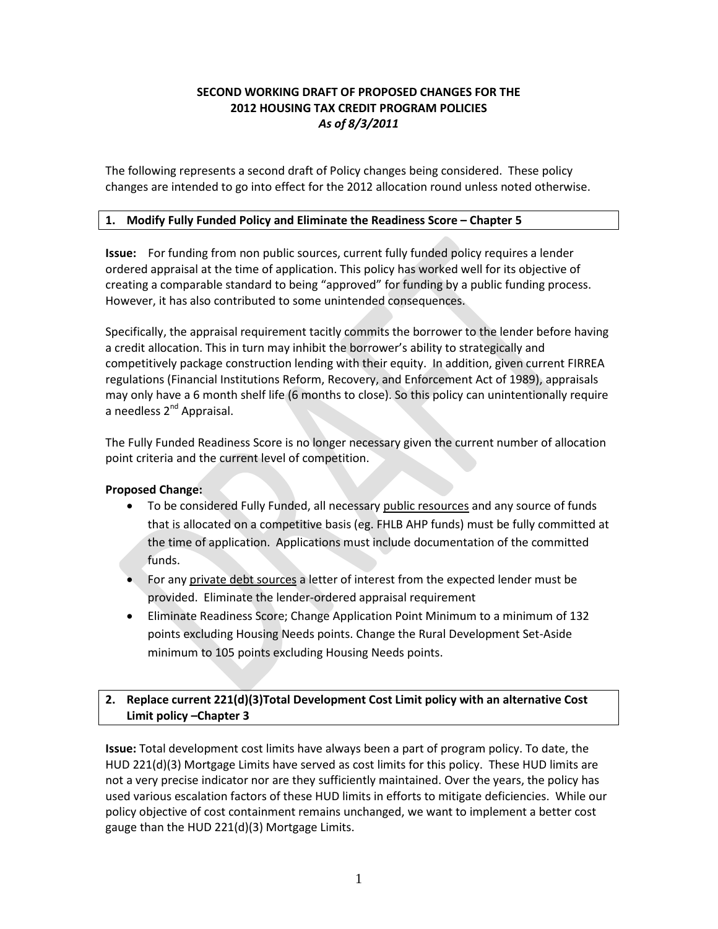# **SECOND WORKING DRAFT OF PROPOSED CHANGES FOR THE 2012 HOUSING TAX CREDIT PROGRAM POLICIES** *As of 8/3/2011*

The following represents a second draft of Policy changes being considered. These policy changes are intended to go into effect for the 2012 allocation round unless noted otherwise.

# **1. Modify Fully Funded Policy and Eliminate the Readiness Score – Chapter 5**

**Issue:** For funding from non public sources, current fully funded policy requires a lender ordered appraisal at the time of application. This policy has worked well for its objective of creating a comparable standard to being "approved" for funding by a public funding process. However, it has also contributed to some unintended consequences.

Specifically, the appraisal requirement tacitly commits the borrower to the lender before having a credit allocation. This in turn may inhibit the borrower's ability to strategically and competitively package construction lending with their equity. In addition, given current FIRREA regulations (Financial Institutions Reform, Recovery, and Enforcement Act of 1989), appraisals may only have a 6 month shelf life (6 months to close). So this policy can unintentionally require a needless 2<sup>nd</sup> Appraisal.

The Fully Funded Readiness Score is no longer necessary given the current number of allocation point criteria and the current level of competition.

# **Proposed Change:**

- To be considered Fully Funded, all necessary public resources and any source of funds that is allocated on a competitive basis (eg. FHLB AHP funds) must be fully committed at the time of application. Applications must include documentation of the committed funds.
- For any private debt sources a letter of interest from the expected lender must be provided. Eliminate the lender-ordered appraisal requirement
- Eliminate Readiness Score; Change Application Point Minimum to a minimum of 132 points excluding Housing Needs points. Change the Rural Development Set-Aside minimum to 105 points excluding Housing Needs points.

# **2. Replace current 221(d)(3)Total Development Cost Limit policy with an alternative Cost Limit policy –Chapter 3**

**Issue:** Total development cost limits have always been a part of program policy. To date, the HUD 221(d)(3) Mortgage Limits have served as cost limits for this policy. These HUD limits are not a very precise indicator nor are they sufficiently maintained. Over the years, the policy has used various escalation factors of these HUD limits in efforts to mitigate deficiencies. While our policy objective of cost containment remains unchanged, we want to implement a better cost gauge than the HUD 221(d)(3) Mortgage Limits.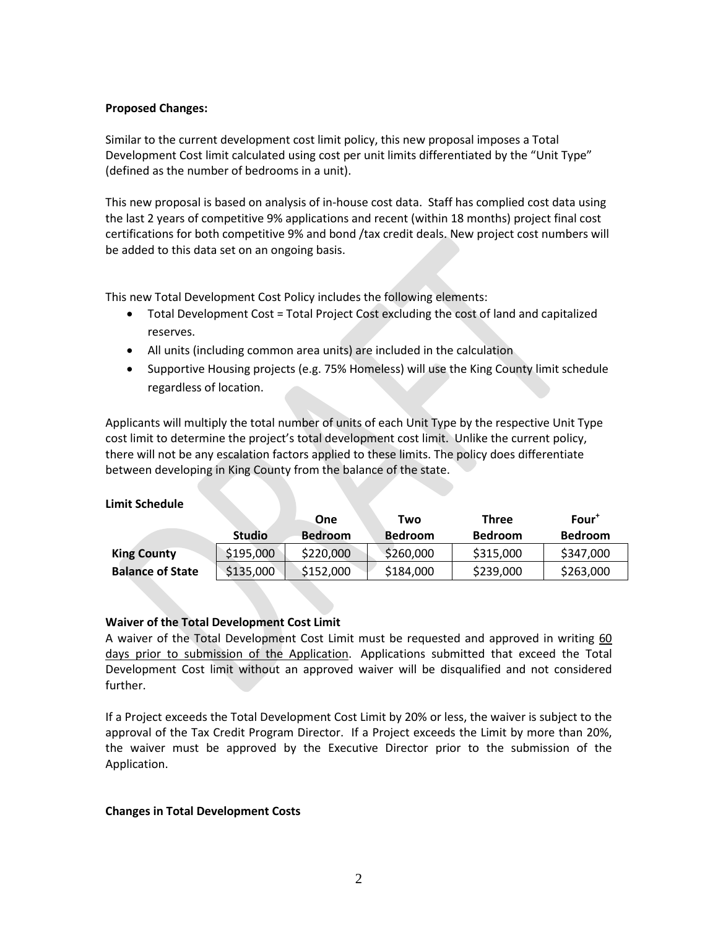# **Proposed Changes:**

Similar to the current development cost limit policy, this new proposal imposes a Total Development Cost limit calculated using cost per unit limits differentiated by the "Unit Type" (defined as the number of bedrooms in a unit).

This new proposal is based on analysis of in-house cost data. Staff has complied cost data using the last 2 years of competitive 9% applications and recent (within 18 months) project final cost certifications for both competitive 9% and bond /tax credit deals. New project cost numbers will be added to this data set on an ongoing basis.

This new Total Development Cost Policy includes the following elements:

- Total Development Cost = Total Project Cost excluding the cost of land and capitalized reserves.
- All units (including common area units) are included in the calculation
- Supportive Housing projects (e.g. 75% Homeless) will use the King County limit schedule regardless of location.

Applicants will multiply the total number of units of each Unit Type by the respective Unit Type cost limit to determine the project's total development cost limit. Unlike the current policy, there will not be any escalation factors applied to these limits. The policy does differentiate between developing in King County from the balance of the state.

# **Limit Schedule**

|                         |               | One            | Two            | Three          | $Four^{\dagger}$ |
|-------------------------|---------------|----------------|----------------|----------------|------------------|
|                         | <b>Studio</b> | <b>Bedroom</b> | <b>Bedroom</b> | <b>Bedroom</b> | <b>Bedroom</b>   |
| <b>King County</b>      | \$195,000     | \$220,000      | \$260,000      | \$315,000      | \$347,000        |
| <b>Balance of State</b> | \$135,000     | \$152,000      | \$184,000      | \$239,000      | \$263,000        |

# **Waiver of the Total Development Cost Limit**

A waiver of the Total Development Cost Limit must be requested and approved in writing 60 days prior to submission of the Application. Applications submitted that exceed the Total Development Cost limit without an approved waiver will be disqualified and not considered further.

If a Project exceeds the Total Development Cost Limit by 20% or less, the waiver is subject to the approval of the Tax Credit Program Director. If a Project exceeds the Limit by more than 20%, the waiver must be approved by the Executive Director prior to the submission of the Application.

# **Changes in Total Development Costs**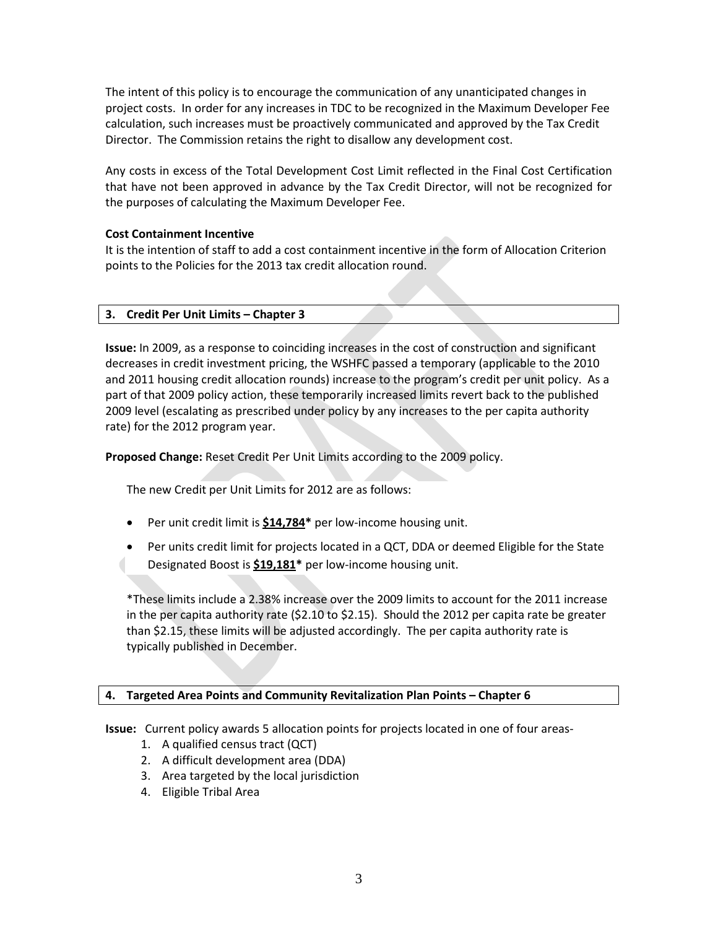The intent of this policy is to encourage the communication of any unanticipated changes in project costs. In order for any increases in TDC to be recognized in the Maximum Developer Fee calculation, such increases must be proactively communicated and approved by the Tax Credit Director. The Commission retains the right to disallow any development cost.

Any costs in excess of the Total Development Cost Limit reflected in the Final Cost Certification that have not been approved in advance by the Tax Credit Director, will not be recognized for the purposes of calculating the Maximum Developer Fee.

# **Cost Containment Incentive**

It is the intention of staff to add a cost containment incentive in the form of Allocation Criterion points to the Policies for the 2013 tax credit allocation round.

# **3. Credit Per Unit Limits – Chapter 3**

**Issue:** In 2009, as a response to coinciding increases in the cost of construction and significant decreases in credit investment pricing, the WSHFC passed a temporary (applicable to the 2010 and 2011 housing credit allocation rounds) increase to the program's credit per unit policy. As a part of that 2009 policy action, these temporarily increased limits revert back to the published 2009 level (escalating as prescribed under policy by any increases to the per capita authority rate) for the 2012 program year.

**Proposed Change:** Reset Credit Per Unit Limits according to the 2009 policy.

The new Credit per Unit Limits for 2012 are as follows:

- Per unit credit limit is **\$14,784\*** per low-income housing unit.
- Per units credit limit for projects located in a QCT, DDA or deemed Eligible for the State Designated Boost is **\$19,181\*** per low-income housing unit.

\*These limits include a 2.38% increase over the 2009 limits to account for the 2011 increase in the per capita authority rate (\$2.10 to \$2.15). Should the 2012 per capita rate be greater than \$2.15, these limits will be adjusted accordingly. The per capita authority rate is typically published in December.

# **4. Targeted Area Points and Community Revitalization Plan Points – Chapter 6**

**Issue:** Current policy awards 5 allocation points for projects located in one of four areas-

- 1. A qualified census tract (QCT)
- 2. A difficult development area (DDA)
- 3. Area targeted by the local jurisdiction
- 4. Eligible Tribal Area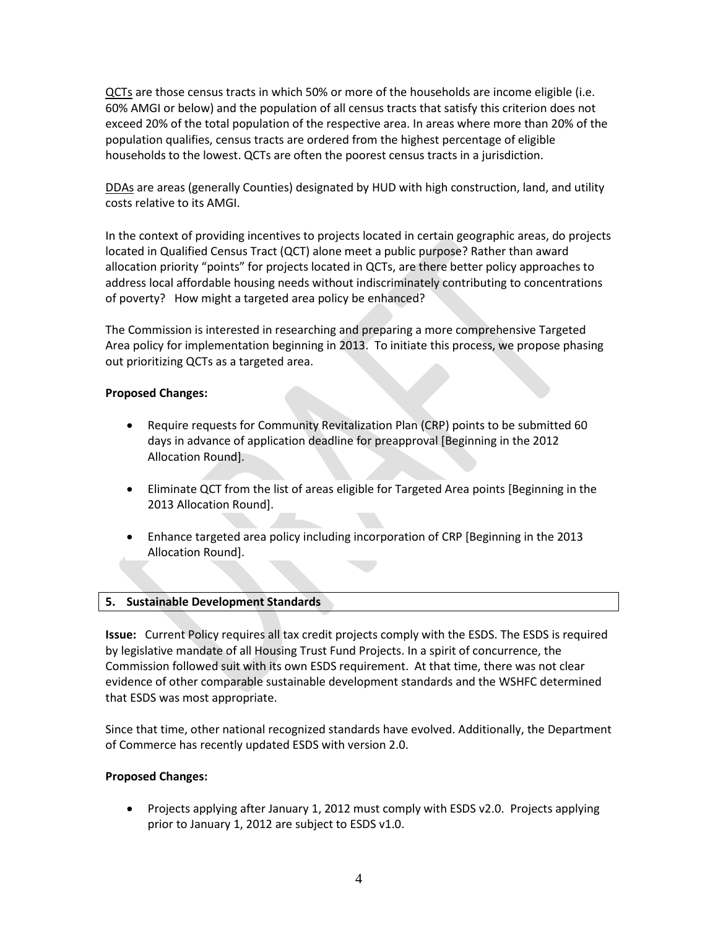QCTs are those census tracts in which 50% or more of the households are income eligible (i.e. 60% AMGI or below) and the population of all census tracts that satisfy this criterion does not exceed 20% of the total population of the respective area. In areas where more than 20% of the population qualifies, census tracts are ordered from the highest percentage of eligible households to the lowest. QCTs are often the poorest census tracts in a jurisdiction.

DDAs are areas (generally Counties) designated by HUD with high construction, land, and utility costs relative to its AMGI.

In the context of providing incentives to projects located in certain geographic areas, do projects located in Qualified Census Tract (QCT) alone meet a public purpose? Rather than award allocation priority "points" for projects located in QCTs, are there better policy approaches to address local affordable housing needs without indiscriminately contributing to concentrations of poverty? How might a targeted area policy be enhanced?

The Commission is interested in researching and preparing a more comprehensive Targeted Area policy for implementation beginning in 2013. To initiate this process, we propose phasing out prioritizing QCTs as a targeted area.

# **Proposed Changes:**

- Require requests for Community Revitalization Plan (CRP) points to be submitted 60 days in advance of application deadline for preapproval [Beginning in the 2012 Allocation Round].
- Eliminate QCT from the list of areas eligible for Targeted Area points [Beginning in the 2013 Allocation Round].
- Enhance targeted area policy including incorporation of CRP [Beginning in the 2013 Allocation Round].

# **5. Sustainable Development Standards**

**Issue:** Current Policy requires all tax credit projects comply with the ESDS. The ESDS is required by legislative mandate of all Housing Trust Fund Projects. In a spirit of concurrence, the Commission followed suit with its own ESDS requirement. At that time, there was not clear evidence of other comparable sustainable development standards and the WSHFC determined that ESDS was most appropriate.

Since that time, other national recognized standards have evolved. Additionally, the Department of Commerce has recently updated ESDS with version 2.0.

# **Proposed Changes:**

• Projects applying after January 1, 2012 must comply with ESDS v2.0. Projects applying prior to January 1, 2012 are subject to ESDS v1.0.